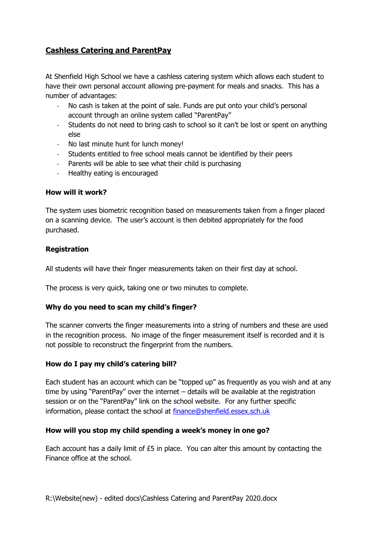# **Cashless Catering and ParentPay**

At Shenfield High School we have a cashless catering system which allows each student to have their own personal account allowing pre-payment for meals and snacks. This has a number of advantages:

- No cash is taken at the point of sale. Funds are put onto your child's personal account through an online system called "ParentPay"
- Students do not need to bring cash to school so it can't be lost or spent on anything else
- No last minute hunt for lunch money!
- Students entitled to free school meals cannot be identified by their peers
- Parents will be able to see what their child is purchasing
- Healthy eating is encouraged

### **How will it work?**

The system uses biometric recognition based on measurements taken from a finger placed on a scanning device. The user's account is then debited appropriately for the food purchased.

### **Registration**

All students will have their finger measurements taken on their first day at school.

The process is very quick, taking one or two minutes to complete.

### **Why do you need to scan my child's finger?**

The scanner converts the finger measurements into a string of numbers and these are used in the recognition process. No image of the finger measurement itself is recorded and it is not possible to reconstruct the fingerprint from the numbers.

### **How do I pay my child's catering bill?**

Each student has an account which can be "topped up" as frequently as you wish and at any time by using "ParentPay" over the internet – details will be available at the registration session or on the "ParentPay" link on the school website. For any further specific information, please contact the school at [finance@shenfield.essex.sch.uk](mailto:finance@shenfield.essex.sch.uk)

### **How will you stop my child spending a week's money in one go?**

Each account has a daily limit of £5 in place. You can alter this amount by contacting the Finance office at the school.